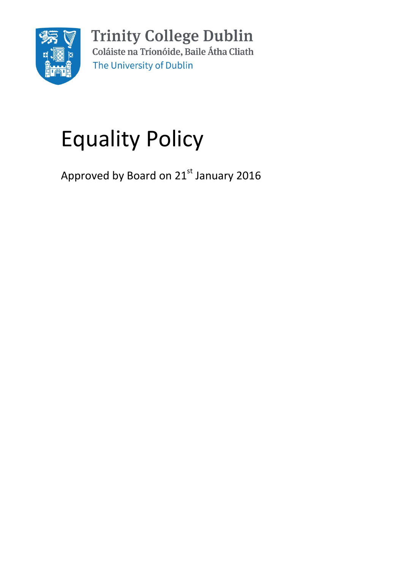

**Trinity College Dublin** Coláiste na Tríonóide, Baile Átha Cliath The University of Dublin

# Equality Policy

Approved by Board on 21st January 2016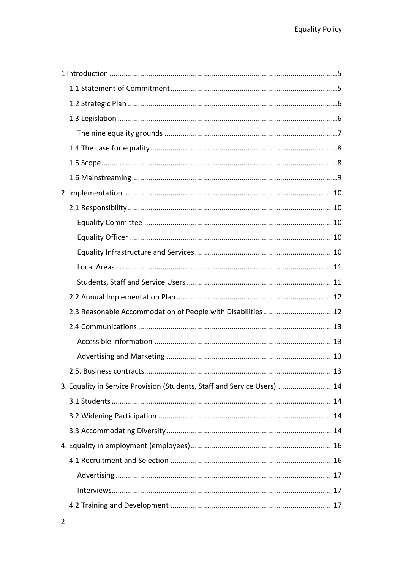| 2.3 Reasonable Accommodation of People with Disabilities 12             |    |
|-------------------------------------------------------------------------|----|
|                                                                         |    |
|                                                                         |    |
|                                                                         |    |
|                                                                         | 13 |
| 3. Equality in Service Provision (Students, Staff and Service Users) 14 |    |
|                                                                         |    |
|                                                                         |    |
|                                                                         |    |
|                                                                         |    |
|                                                                         |    |
|                                                                         |    |
|                                                                         |    |
|                                                                         |    |
|                                                                         |    |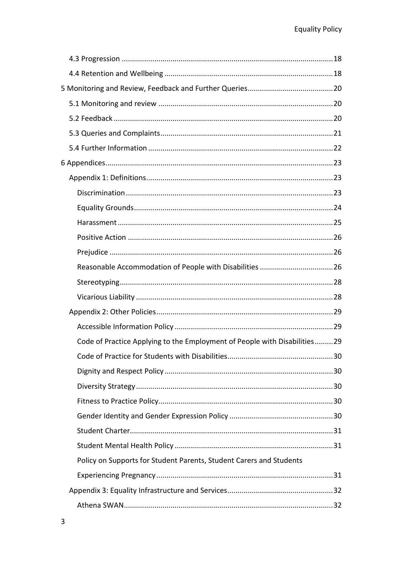| Code of Practice Applying to the Employment of People with Disabilities29 |    |
|---------------------------------------------------------------------------|----|
|                                                                           | 30 |
|                                                                           |    |
|                                                                           |    |
|                                                                           |    |
|                                                                           |    |
|                                                                           |    |
|                                                                           |    |
| Policy on Supports for Student Parents, Student Carers and Students       |    |
|                                                                           |    |
|                                                                           |    |
|                                                                           |    |
|                                                                           |    |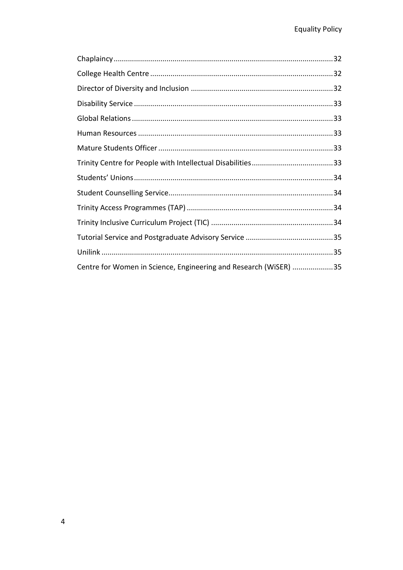| Centre for Women in Science, Engineering and Research (WiSER) 35 |  |
|------------------------------------------------------------------|--|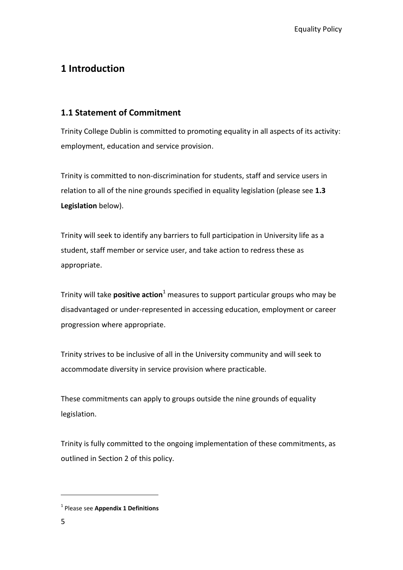# <span id="page-4-0"></span>**1 Introduction**

# <span id="page-4-1"></span>**1.1 Statement of Commitment**

Trinity College Dublin is committed to promoting equality in all aspects of its activity: employment, education and service provision.

Trinity is committed to non-discrimination for students, staff and service users in relation to all of the nine grounds specified in equality legislation (please see **1.3 Legislation** below).

Trinity will seek to identify any barriers to full participation in University life as a student, staff member or service user, and take action to redress these as appropriate.

Trinity will take **positive action**<sup>1</sup> measures to support particular groups who may be disadvantaged or under-represented in accessing education, employment or career progression where appropriate.

Trinity strives to be inclusive of all in the University community and will seek to accommodate diversity in service provision where practicable.

These commitments can apply to groups outside the nine grounds of equality legislation.

Trinity is fully committed to the ongoing implementation of these commitments, as outlined in Section 2 of this policy.

<u>.</u>

<sup>1</sup> Please see **Appendix 1 Definitions**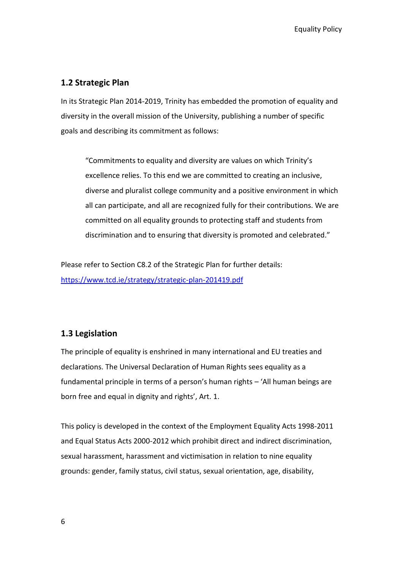## <span id="page-5-0"></span>**1.2 Strategic Plan**

In its Strategic Plan 2014-2019, Trinity has embedded the promotion of equality and diversity in the overall mission of the University, publishing a number of specific goals and describing its commitment as follows:

"Commitments to equality and diversity are values on which Trinity's excellence relies. To this end we are committed to creating an inclusive, diverse and pluralist college community and a positive environment in which all can participate, and all are recognized fully for their contributions. We are committed on all equality grounds to protecting staff and students from discrimination and to ensuring that diversity is promoted and celebrated."

Please refer to Section C8.2 of the Strategic Plan for further details: <https://www.tcd.ie/strategy/strategic-plan-201419.pdf>

# <span id="page-5-1"></span>**1.3 Legislation**

The principle of equality is enshrined in many international and EU treaties and declarations. The Universal Declaration of Human Rights sees equality as a fundamental principle in terms of a person's human rights – 'All human beings are born free and equal in dignity and rights', Art. 1.

This policy is developed in the context of the Employment Equality Acts 1998-2011 and Equal Status Acts 2000-2012 which prohibit direct and indirect discrimination, sexual harassment, harassment and victimisation in relation to nine equality grounds: gender, family status, civil status, sexual orientation, age, disability,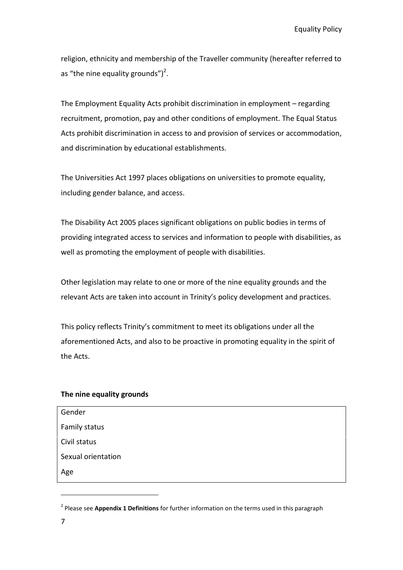Equality Policy

religion, ethnicity and membership of the Traveller community (hereafter referred to as "the nine equality grounds")<sup>2</sup>.

The Employment Equality Acts prohibit discrimination in employment – regarding recruitment, promotion, pay and other conditions of employment. The Equal Status Acts prohibit discrimination in access to and provision of services or accommodation, and discrimination by educational establishments.

The Universities Act 1997 places obligations on universities to promote equality, including gender balance, and access.

The Disability Act 2005 places significant obligations on public bodies in terms of providing integrated access to services and information to people with disabilities, as well as promoting the employment of people with disabilities.

Other legislation may relate to one or more of the nine equality grounds and the relevant Acts are taken into account in Trinity's policy development and practices.

This policy reflects Trinity's commitment to meet its obligations under all the aforementioned Acts, and also to be proactive in promoting equality in the spirit of the Acts.

#### <span id="page-6-0"></span>**The nine equality grounds**

| Gender             |  |
|--------------------|--|
| Family status      |  |
| Civil status       |  |
| Sexual orientation |  |
| Age                |  |

<sup>2</sup> Please see **Appendix 1 Definitions** for further information on the terms used in this paragraph

<u>.</u>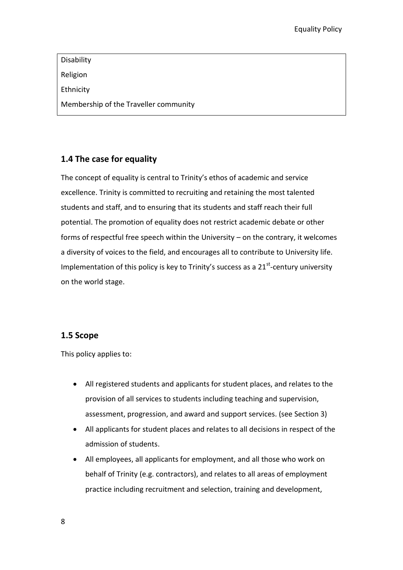Disability Religion Ethnicity Membership of the Traveller community

# <span id="page-7-0"></span>**1.4 The case for equality**

The concept of equality is central to Trinity's ethos of academic and service excellence. Trinity is committed to recruiting and retaining the most talented students and staff, and to ensuring that its students and staff reach their full potential. The promotion of equality does not restrict academic debate or other forms of respectful free speech within the University – on the contrary, it welcomes a diversity of voices to the field, and encourages all to contribute to University life. Implementation of this policy is key to Trinity's success as a  $21<sup>st</sup>$ -century university on the world stage.

# <span id="page-7-1"></span>**1.5 Scope**

This policy applies to:

- All registered students and applicants for student places, and relates to the provision of all services to students including teaching and supervision, assessment, progression, and award and support services. (see Section 3)
- All applicants for student places and relates to all decisions in respect of the admission of students.
- All employees, all applicants for employment, and all those who work on behalf of Trinity (e.g. contractors), and relates to all areas of employment practice including recruitment and selection, training and development,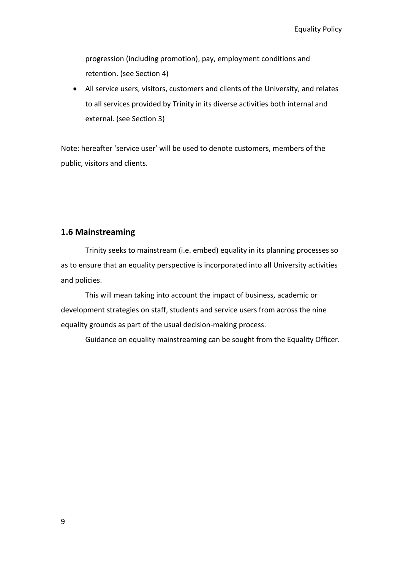progression (including promotion), pay, employment conditions and retention. (see Section 4)

 All service users, visitors, customers and clients of the University, and relates to all services provided by Trinity in its diverse activities both internal and external. (see Section 3)

Note: hereafter 'service user' will be used to denote customers, members of the public, visitors and clients.

#### <span id="page-8-0"></span>**1.6 Mainstreaming**

Trinity seeks to mainstream (i.e. embed) equality in its planning processes so as to ensure that an equality perspective is incorporated into all University activities and policies.

This will mean taking into account the impact of business, academic or development strategies on staff, students and service users from across the nine equality grounds as part of the usual decision-making process.

Guidance on equality mainstreaming can be sought from the Equality Officer.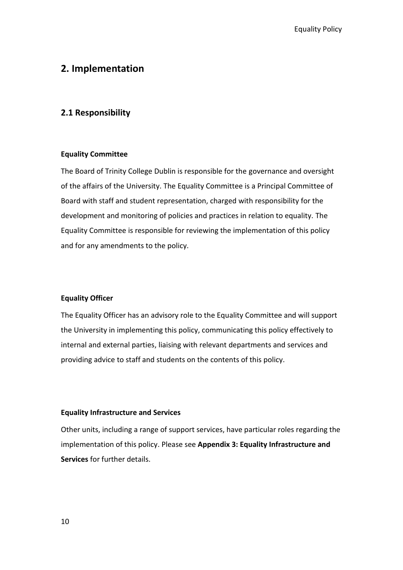# <span id="page-9-0"></span>**2. Implementation**

#### <span id="page-9-1"></span>**2.1 Responsibility**

#### <span id="page-9-2"></span>**Equality Committee**

The Board of Trinity College Dublin is responsible for the governance and oversight of the affairs of the University. The Equality Committee is a Principal Committee of Board with staff and student representation, charged with responsibility for the development and monitoring of policies and practices in relation to equality. The Equality Committee is responsible for reviewing the implementation of this policy and for any amendments to the policy.

#### <span id="page-9-3"></span>**Equality Officer**

The Equality Officer has an advisory role to the Equality Committee and will support the University in implementing this policy, communicating this policy effectively to internal and external parties, liaising with relevant departments and services and providing advice to staff and students on the contents of this policy.

#### <span id="page-9-4"></span>**Equality Infrastructure and Services**

Other units, including a range of support services, have particular roles regarding the implementation of this policy. Please see **Appendix 3: Equality Infrastructure and Services** for further details.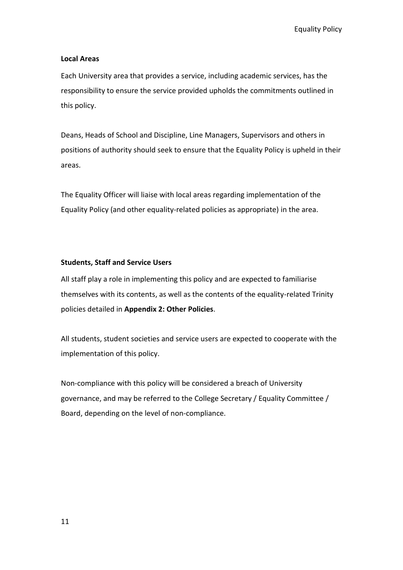Equality Policy

#### <span id="page-10-0"></span>**Local Areas**

Each University area that provides a service, including academic services, has the responsibility to ensure the service provided upholds the commitments outlined in this policy.

Deans, Heads of School and Discipline, Line Managers, Supervisors and others in positions of authority should seek to ensure that the Equality Policy is upheld in their areas.

The Equality Officer will liaise with local areas regarding implementation of the Equality Policy (and other equality-related policies as appropriate) in the area.

#### <span id="page-10-1"></span>**Students, Staff and Service Users**

All staff play a role in implementing this policy and are expected to familiarise themselves with its contents, as well as the contents of the equality-related Trinity policies detailed in **Appendix 2: Other Policies**.

All students, student societies and service users are expected to cooperate with the implementation of this policy.

Non-compliance with this policy will be considered a breach of University governance, and may be referred to the College Secretary / Equality Committee / Board, depending on the level of non-compliance.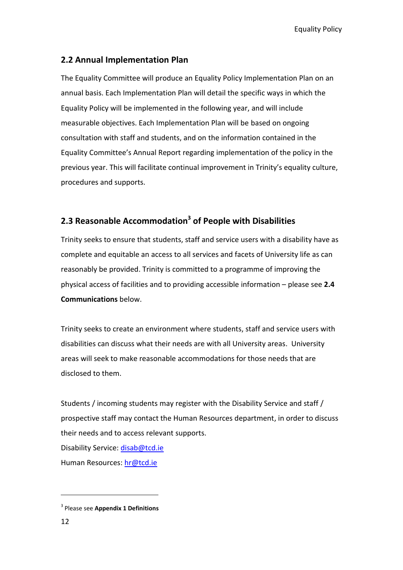Equality Policy

# <span id="page-11-0"></span>**2.2 Annual Implementation Plan**

The Equality Committee will produce an Equality Policy Implementation Plan on an annual basis. Each Implementation Plan will detail the specific ways in which the Equality Policy will be implemented in the following year, and will include measurable objectives. Each Implementation Plan will be based on ongoing consultation with staff and students, and on the information contained in the Equality Committee's Annual Report regarding implementation of the policy in the previous year. This will facilitate continual improvement in Trinity's equality culture, procedures and supports.

# <span id="page-11-1"></span>**2.3 Reasonable Accommodation<sup>3</sup> of People with Disabilities**

Trinity seeks to ensure that students, staff and service users with a disability have as complete and equitable an access to all services and facets of University life as can reasonably be provided. Trinity is committed to a programme of improving the physical access of facilities and to providing accessible information – please see **2.4 Communications** below.

Trinity seeks to create an environment where students, staff and service users with disabilities can discuss what their needs are with all University areas. University areas will seek to make reasonable accommodations for those needs that are disclosed to them.

Students / incoming students may register with the Disability Service and staff / prospective staff may contact the Human Resources department, in order to discuss their needs and to access relevant supports.

Disability Service: [disab@tcd.ie](mailto:disab@tcd.ie)

Human Resources: [hr@tcd.ie](mailto:hr@tcd.ie)

<u>.</u>

<sup>3</sup> Please see **Appendix 1 Definitions**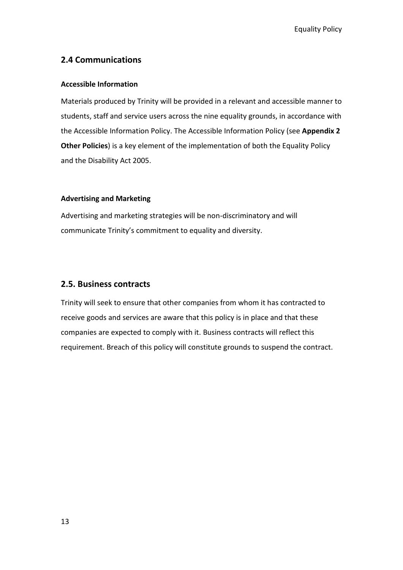## <span id="page-12-0"></span>**2.4 Communications**

#### <span id="page-12-1"></span>**Accessible Information**

Materials produced by Trinity will be provided in a relevant and accessible manner to students, staff and service users across the nine equality grounds, in accordance with the Accessible Information Policy. The Accessible Information Policy (see **Appendix 2 Other Policies**) is a key element of the implementation of both the Equality Policy and the Disability Act 2005.

#### <span id="page-12-2"></span>**Advertising and Marketing**

Advertising and marketing strategies will be non-discriminatory and will communicate Trinity's commitment to equality and diversity.

#### <span id="page-12-3"></span>**2.5. Business contracts**

Trinity will seek to ensure that other companies from whom it has contracted to receive goods and services are aware that this policy is in place and that these companies are expected to comply with it. Business contracts will reflect this requirement. Breach of this policy will constitute grounds to suspend the contract.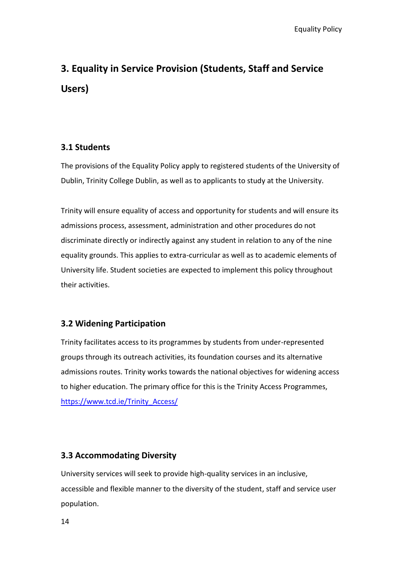# <span id="page-13-0"></span>**3. Equality in Service Provision (Students, Staff and Service Users)**

# <span id="page-13-1"></span>**3.1 Students**

The provisions of the Equality Policy apply to registered students of the University of Dublin, Trinity College Dublin, as well as to applicants to study at the University.

Trinity will ensure equality of access and opportunity for students and will ensure its admissions process, assessment, administration and other procedures do not discriminate directly or indirectly against any student in relation to any of the nine equality grounds. This applies to extra-curricular as well as to academic elements of University life. Student societies are expected to implement this policy throughout their activities.

# <span id="page-13-2"></span>**3.2 Widening Participation**

Trinity facilitates access to its programmes by students from under-represented groups through its outreach activities, its foundation courses and its alternative admissions routes. Trinity works towards the national objectives for widening access to higher education. The primary office for this is the Trinity Access Programmes, [https://www.tcd.ie/Trinity\\_Access/](https://www.tcd.ie/Trinity_Access/)

# <span id="page-13-3"></span>**3.3 Accommodating Diversity**

University services will seek to provide high-quality services in an inclusive, accessible and flexible manner to the diversity of the student, staff and service user population.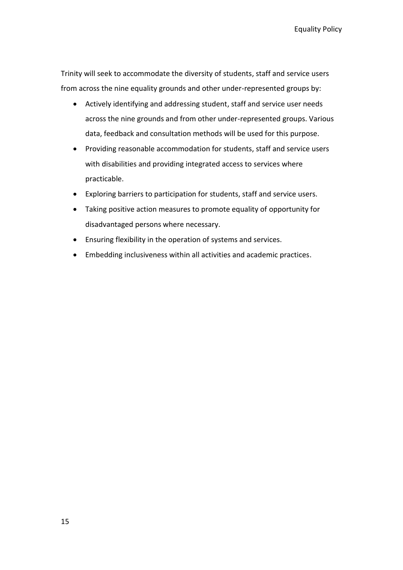Equality Policy

Trinity will seek to accommodate the diversity of students, staff and service users from across the nine equality grounds and other under-represented groups by:

- Actively identifying and addressing student, staff and service user needs across the nine grounds and from other under-represented groups. Various data, feedback and consultation methods will be used for this purpose.
- Providing reasonable accommodation for students, staff and service users with disabilities and providing integrated access to services where practicable.
- Exploring barriers to participation for students, staff and service users.
- Taking positive action measures to promote equality of opportunity for disadvantaged persons where necessary.
- Ensuring flexibility in the operation of systems and services.
- Embedding inclusiveness within all activities and academic practices.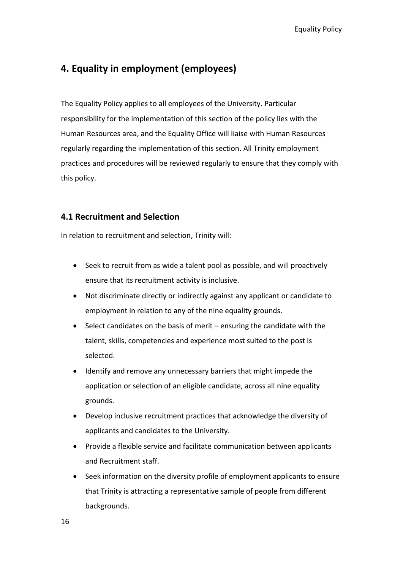# <span id="page-15-0"></span>**4. Equality in employment (employees)**

The Equality Policy applies to all employees of the University. Particular responsibility for the implementation of this section of the policy lies with the Human Resources area, and the Equality Office will liaise with Human Resources regularly regarding the implementation of this section. All Trinity employment practices and procedures will be reviewed regularly to ensure that they comply with this policy.

# <span id="page-15-1"></span>**4.1 Recruitment and Selection**

In relation to recruitment and selection, Trinity will:

- Seek to recruit from as wide a talent pool as possible, and will proactively ensure that its recruitment activity is inclusive.
- Not discriminate directly or indirectly against any applicant or candidate to employment in relation to any of the nine equality grounds.
- Select candidates on the basis of merit ensuring the candidate with the talent, skills, competencies and experience most suited to the post is selected.
- Identify and remove any unnecessary barriers that might impede the application or selection of an eligible candidate, across all nine equality grounds.
- Develop inclusive recruitment practices that acknowledge the diversity of applicants and candidates to the University.
- Provide a flexible service and facilitate communication between applicants and Recruitment staff.
- Seek information on the diversity profile of employment applicants to ensure that Trinity is attracting a representative sample of people from different backgrounds.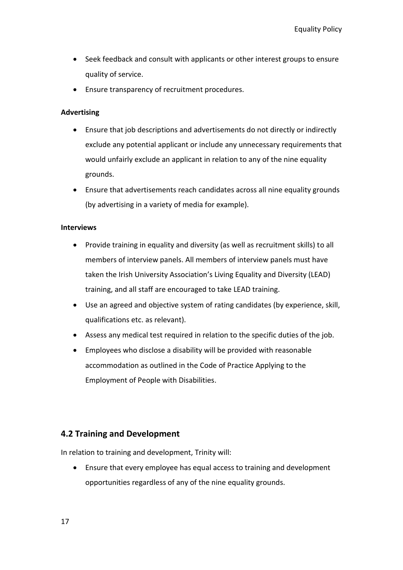- Seek feedback and consult with applicants or other interest groups to ensure quality of service.
- Ensure transparency of recruitment procedures.

#### <span id="page-16-0"></span>**Advertising**

- Ensure that job descriptions and advertisements do not directly or indirectly exclude any potential applicant or include any unnecessary requirements that would unfairly exclude an applicant in relation to any of the nine equality grounds.
- Ensure that advertisements reach candidates across all nine equality grounds (by advertising in a variety of media for example).

#### <span id="page-16-1"></span>**Interviews**

- Provide training in equality and diversity (as well as recruitment skills) to all members of interview panels. All members of interview panels must have taken the Irish University Association's Living Equality and Diversity (LEAD) training, and all staff are encouraged to take LEAD training.
- Use an agreed and objective system of rating candidates (by experience, skill, qualifications etc. as relevant).
- Assess any medical test required in relation to the specific duties of the job.
- Employees who disclose a disability will be provided with reasonable accommodation as outlined in the Code of Practice Applying to the Employment of People with Disabilities.

# <span id="page-16-2"></span>**4.2 Training and Development**

In relation to training and development, Trinity will:

 Ensure that every employee has equal access to training and development opportunities regardless of any of the nine equality grounds.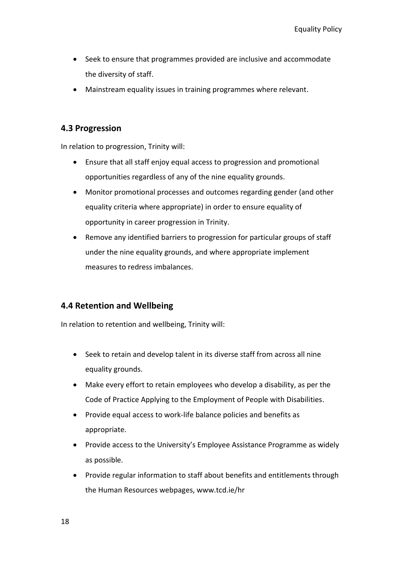- Seek to ensure that programmes provided are inclusive and accommodate the diversity of staff.
- Mainstream equality issues in training programmes where relevant.

# <span id="page-17-0"></span>**4.3 Progression**

In relation to progression, Trinity will:

- Ensure that all staff enjoy equal access to progression and promotional opportunities regardless of any of the nine equality grounds.
- Monitor promotional processes and outcomes regarding gender (and other equality criteria where appropriate) in order to ensure equality of opportunity in career progression in Trinity.
- Remove any identified barriers to progression for particular groups of staff under the nine equality grounds, and where appropriate implement measures to redress imbalances.

# <span id="page-17-1"></span>**4.4 Retention and Wellbeing**

In relation to retention and wellbeing, Trinity will:

- Seek to retain and develop talent in its diverse staff from across all nine equality grounds.
- Make every effort to retain employees who develop a disability, as per the Code of Practice Applying to the Employment of People with Disabilities.
- Provide equal access to work-life balance policies and benefits as appropriate.
- Provide access to the University's Employee Assistance Programme as widely as possible.
- Provide regular information to staff about benefits and entitlements through the Human Resources webpages, www.tcd.ie/hr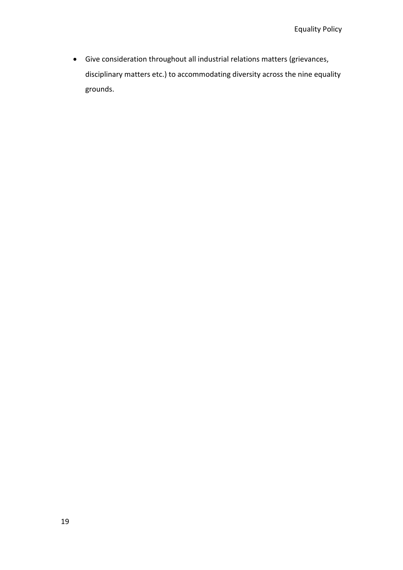Give consideration throughout all industrial relations matters (grievances, disciplinary matters etc.) to accommodating diversity across the nine equality grounds.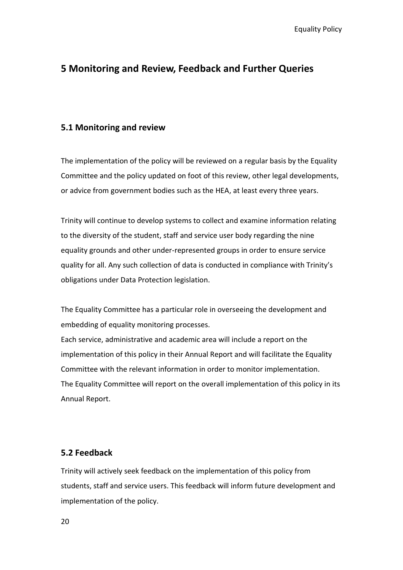# <span id="page-19-0"></span>**5 Monitoring and Review, Feedback and Further Queries**

#### <span id="page-19-1"></span>**5.1 Monitoring and review**

The implementation of the policy will be reviewed on a regular basis by the Equality Committee and the policy updated on foot of this review, other legal developments, or advice from government bodies such as the HEA, at least every three years.

Trinity will continue to develop systems to collect and examine information relating to the diversity of the student, staff and service user body regarding the nine equality grounds and other under-represented groups in order to ensure service quality for all. Any such collection of data is conducted in compliance with Trinity's obligations under Data Protection legislation.

The Equality Committee has a particular role in overseeing the development and embedding of equality monitoring processes.

Each service, administrative and academic area will include a report on the implementation of this policy in their Annual Report and will facilitate the Equality Committee with the relevant information in order to monitor implementation. The Equality Committee will report on the overall implementation of this policy in its Annual Report.

#### <span id="page-19-2"></span>**5.2 Feedback**

Trinity will actively seek feedback on the implementation of this policy from students, staff and service users. This feedback will inform future development and implementation of the policy.

20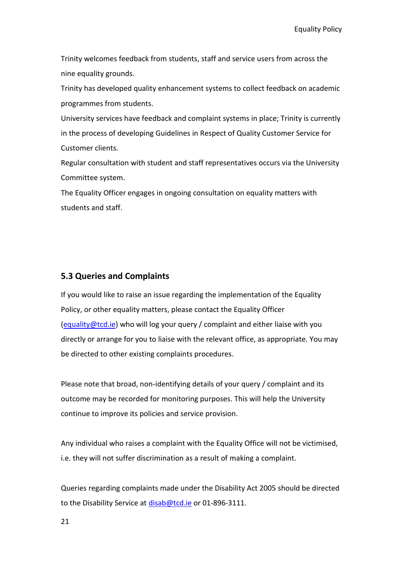Equality Policy

Trinity welcomes feedback from students, staff and service users from across the nine equality grounds.

Trinity has developed quality enhancement systems to collect feedback on academic programmes from students.

University services have feedback and complaint systems in place; Trinity is currently in the process of developing Guidelines in Respect of Quality Customer Service for Customer clients.

Regular consultation with student and staff representatives occurs via the University Committee system.

The Equality Officer engages in ongoing consultation on equality matters with students and staff.

#### <span id="page-20-0"></span>**5.3 Queries and Complaints**

If you would like to raise an issue regarding the implementation of the Equality Policy, or other equality matters, please contact the Equality Officer [\(equality@tcd.ie\)](mailto:equality@tcd.ie) who will log your query / complaint and either liaise with you directly or arrange for you to liaise with the relevant office, as appropriate. You may be directed to other existing complaints procedures.

Please note that broad, non-identifying details of your query / complaint and its outcome may be recorded for monitoring purposes. This will help the University continue to improve its policies and service provision.

Any individual who raises a complaint with the Equality Office will not be victimised, i.e. they will not suffer discrimination as a result of making a complaint.

Queries regarding complaints made under the Disability Act 2005 should be directed to the Disability Service at [disab@tcd.ie](mailto:disab@tcd.ie) or 01-896-3111.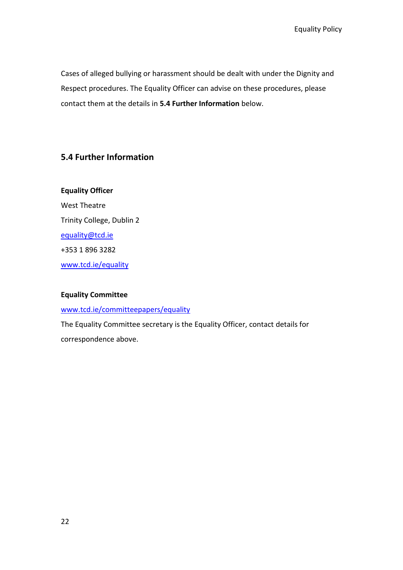Cases of alleged bullying or harassment should be dealt with under the Dignity and Respect procedures. The Equality Officer can advise on these procedures, please contact them at the details in **5.4 Further Information** below.

# <span id="page-21-0"></span>**5.4 Further Information**

**Equality Officer** West Theatre Trinity College, Dublin 2 [equality@tcd.ie](mailto:equality@tcd.ie) +353 1 896 3282 [www.tcd.ie/equality](http://www.tcd.ie/equality)

#### **Equality Committee**

[www.tcd.ie/committeepapers/equality](http://www.tcd.ie/committeepapers/equality)

The Equality Committee secretary is the Equality Officer, contact details for correspondence above.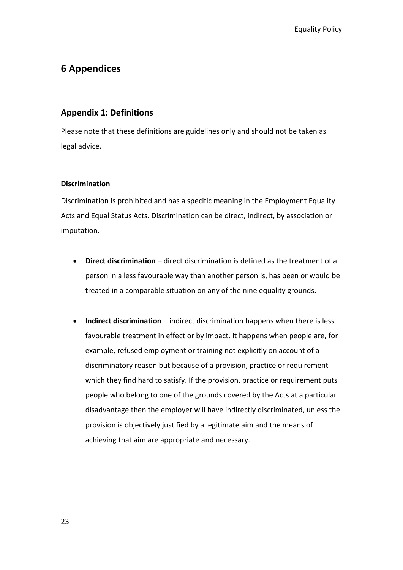# <span id="page-22-0"></span>**6 Appendices**

# <span id="page-22-1"></span>**Appendix 1: Definitions**

Please note that these definitions are guidelines only and should not be taken as legal advice.

#### <span id="page-22-2"></span>**Discrimination**

Discrimination is prohibited and has a specific meaning in the Employment Equality Acts and Equal Status Acts. Discrimination can be direct, indirect, by association or imputation.

- **Direct discrimination –** direct discrimination is defined as the treatment of a person in a less favourable way than another person is, has been or would be treated in a comparable situation on any of the nine equality grounds.
- **Indirect discrimination** indirect discrimination happens when there is less favourable treatment in effect or by impact. It happens when people are, for example, refused employment or training not explicitly on account of a discriminatory reason but because of a provision, practice or requirement which they find hard to satisfy. If the provision, practice or requirement puts people who belong to one of the grounds covered by the Acts at a particular disadvantage then the employer will have indirectly discriminated, unless the provision is objectively justified by a legitimate aim and the means of achieving that aim are appropriate and necessary.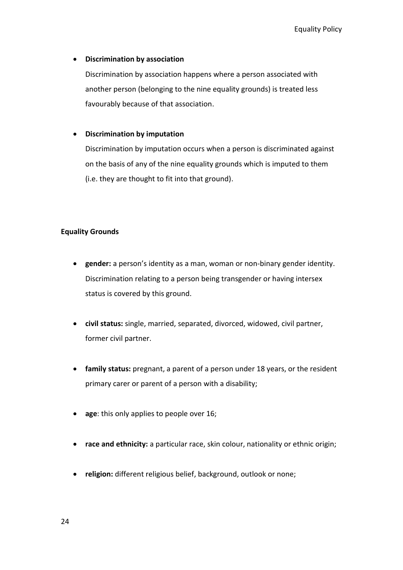#### **Discrimination by association**

Discrimination by association happens where a person associated with another person (belonging to the nine equality grounds) is treated less favourably because of that association.

#### **Discrimination by imputation**

Discrimination by imputation occurs when a person is discriminated against on the basis of any of the nine equality grounds which is imputed to them (i.e. they are thought to fit into that ground).

#### <span id="page-23-0"></span>**Equality Grounds**

- **gender:** a person's identity as a man, woman or non-binary gender identity. Discrimination relating to a person being transgender or having intersex status is covered by this ground.
- **civil status:** single, married, separated, divorced, widowed, civil partner, former civil partner.
- **family status:** pregnant, a parent of a person under 18 years, or the resident primary carer or parent of a person with a disability;
- **age:** this only applies to people over 16;
- **race and ethnicity:** a particular race, skin colour, nationality or ethnic origin;
- **religion:** different religious belief, background, outlook or none;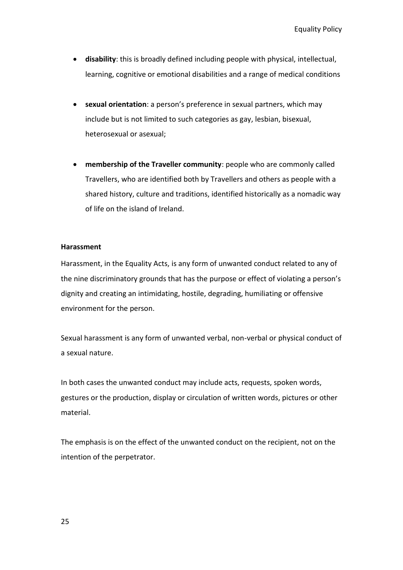- **disability**: this is broadly defined including people with physical, intellectual, learning, cognitive or emotional disabilities and a range of medical conditions
- **sexual orientation**: a person's preference in sexual partners, which may include but is not limited to such categories as gay, lesbian, bisexual, heterosexual or asexual;
- **membership of the Traveller community**: people who are commonly called Travellers, who are identified both by Travellers and others as people with a shared history, culture and traditions, identified historically as a nomadic way of life on the island of Ireland.

#### <span id="page-24-0"></span>**Harassment**

Harassment, in the Equality Acts, is any form of unwanted conduct related to any of the nine discriminatory grounds that has the purpose or effect of violating a person's dignity and creating an intimidating, hostile, degrading, humiliating or offensive environment for the person.

Sexual harassment is any form of unwanted verbal, non-verbal or physical conduct of a sexual nature.

In both cases the unwanted conduct may include acts, requests, spoken words, gestures or the production, display or circulation of written words, pictures or other material.

The emphasis is on the effect of the unwanted conduct on the recipient, not on the intention of the perpetrator.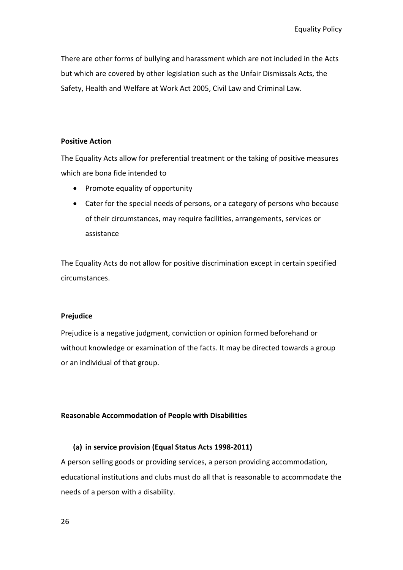There are other forms of bullying and harassment which are not included in the Acts but which are covered by other legislation such as the Unfair Dismissals Acts, the Safety, Health and Welfare at Work Act 2005, Civil Law and Criminal Law.

#### <span id="page-25-0"></span>**Positive Action**

The Equality Acts allow for preferential treatment or the taking of positive measures which are bona fide intended to

- Promote equality of opportunity
- Cater for the special needs of persons, or a category of persons who because of their circumstances, may require facilities, arrangements, services or assistance

The Equality Acts do not allow for positive discrimination except in certain specified circumstances.

#### <span id="page-25-1"></span>**Prejudice**

Prejudice is a negative judgment, conviction or opinion formed beforehand or without knowledge or examination of the facts. It may be directed towards a group or an individual of that group.

#### <span id="page-25-2"></span>**Reasonable Accommodation of People with Disabilities**

#### **(a) in service provision (Equal Status Acts 1998-2011)**

A person selling goods or providing services, a person providing accommodation, educational institutions and clubs must do all that is reasonable to accommodate the needs of a person with a disability.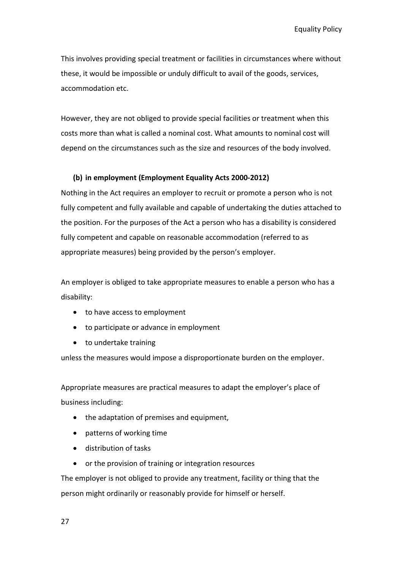Equality Policy

This involves providing special treatment or facilities in circumstances where without these, it would be impossible or unduly difficult to avail of the goods, services, accommodation etc.

However, they are not obliged to provide special facilities or treatment when this costs more than what is called a nominal cost. What amounts to nominal cost will depend on the circumstances such as the size and resources of the body involved.

#### **(b) in employment (Employment Equality Acts 2000-2012)**

Nothing in the Act requires an employer to recruit or promote a person who is not fully competent and fully available and capable of undertaking the duties attached to the position. For the purposes of the Act a person who has a disability is considered fully competent and capable on reasonable accommodation (referred to as appropriate measures) being provided by the person's employer.

An employer is obliged to take appropriate measures to enable a person who has a disability:

- to have access to employment
- to participate or advance in employment
- to undertake training

unless the measures would impose a disproportionate burden on the employer.

Appropriate measures are practical measures to adapt the employer's place of business including:

- the adaptation of premises and equipment,
- patterns of working time
- distribution of tasks
- or the provision of training or integration resources

The employer is not obliged to provide any treatment, facility or thing that the person might ordinarily or reasonably provide for himself or herself.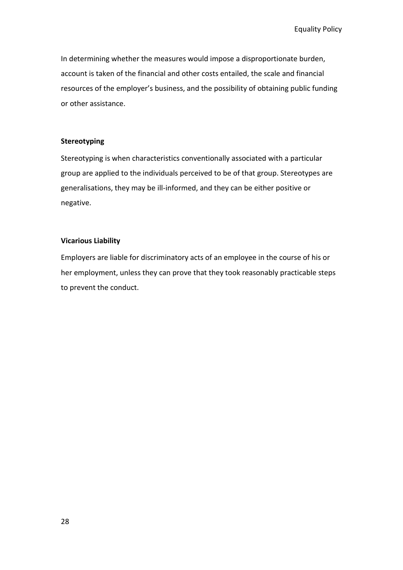In determining whether the measures would impose a disproportionate burden, account is taken of the financial and other costs entailed, the scale and financial resources of the employer's business, and the possibility of obtaining public funding or other assistance.

#### <span id="page-27-0"></span>**Stereotyping**

Stereotyping is when characteristics conventionally associated with a particular group are applied to the individuals perceived to be of that group. Stereotypes are generalisations, they may be ill-informed, and they can be either positive or negative.

#### <span id="page-27-1"></span>**Vicarious Liability**

Employers are liable for discriminatory acts of an employee in the course of his or her employment, unless they can prove that they took reasonably practicable steps to prevent the conduct.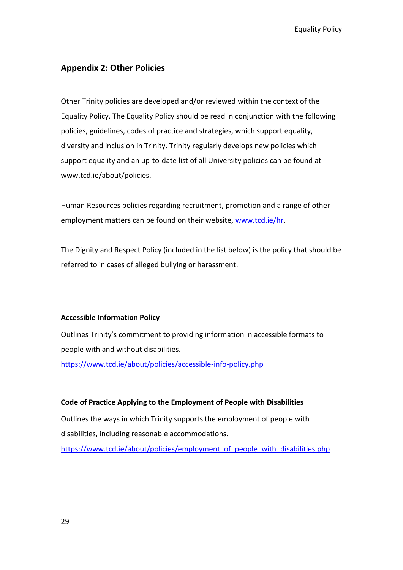## <span id="page-28-0"></span>**Appendix 2: Other Policies**

Other Trinity policies are developed and/or reviewed within the context of the Equality Policy. The Equality Policy should be read in conjunction with the following policies, guidelines, codes of practice and strategies, which support equality, diversity and inclusion in Trinity. Trinity regularly develops new policies which support equality and an up-to-date list of all University policies can be found at www.tcd.ie/about/policies.

Human Resources policies regarding recruitment, promotion and a range of other employment matters can be found on their website, [www.tcd.ie/hr.](http://www.tcd.ie/hr)

The Dignity and Respect Policy (included in the list below) is the policy that should be referred to in cases of alleged bullying or harassment.

#### <span id="page-28-1"></span>**Accessible Information Policy**

Outlines Trinity's commitment to providing information in accessible formats to people with and without disabilities.

<https://www.tcd.ie/about/policies/accessible-info-policy.php>

#### <span id="page-28-2"></span>**Code of Practice Applying to the Employment of People with Disabilities**

Outlines the ways in which Trinity supports the employment of people with disabilities, including reasonable accommodations.

[https://www.tcd.ie/about/policies/employment\\_of\\_people\\_with\\_disabilities.php](https://www.tcd.ie/about/policies/employment_of_people_with_disabilities.php)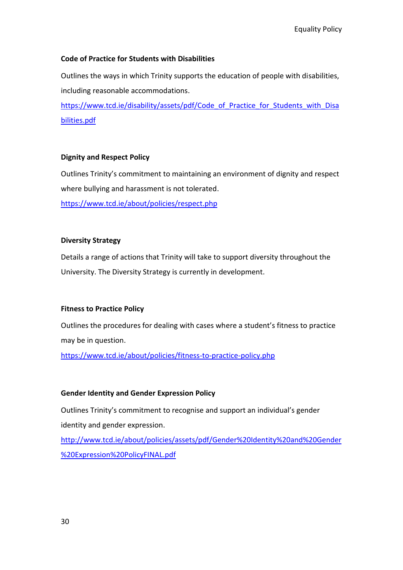#### <span id="page-29-0"></span>**Code of Practice for Students with Disabilities**

Outlines the ways in which Trinity supports the education of people with disabilities, including reasonable accommodations.

[https://www.tcd.ie/disability/assets/pdf/Code\\_of\\_Practice\\_for\\_Students\\_with\\_Disa](https://www.tcd.ie/disability/assets/pdf/Code_of_Practice_for_Students_with_Disabilities.pdf) [bilities.pdf](https://www.tcd.ie/disability/assets/pdf/Code_of_Practice_for_Students_with_Disabilities.pdf)

#### <span id="page-29-1"></span>**Dignity and Respect Policy**

Outlines Trinity's commitment to maintaining an environment of dignity and respect where bullying and harassment is not tolerated. <https://www.tcd.ie/about/policies/respect.php>

#### <span id="page-29-2"></span>**Diversity Strategy**

Details a range of actions that Trinity will take to support diversity throughout the University. The Diversity Strategy is currently in development.

#### <span id="page-29-3"></span>**Fitness to Practice Policy**

Outlines the procedures for dealing with cases where a student's fitness to practice may be in question.

<https://www.tcd.ie/about/policies/fitness-to-practice-policy.php>

#### <span id="page-29-4"></span>**Gender Identity and Gender Expression Policy**

Outlines Trinity's commitment to recognise and support an individual's gender identity and gender expression.

[http://www.tcd.ie/about/policies/assets/pdf/Gender%20Identity%20and%20Gender](http://www.tcd.ie/about/policies/assets/pdf/Gender%20Identity%20and%20Gender%20Expression%20PolicyFINAL.pdf) [%20Expression%20PolicyFINAL.pdf](http://www.tcd.ie/about/policies/assets/pdf/Gender%20Identity%20and%20Gender%20Expression%20PolicyFINAL.pdf)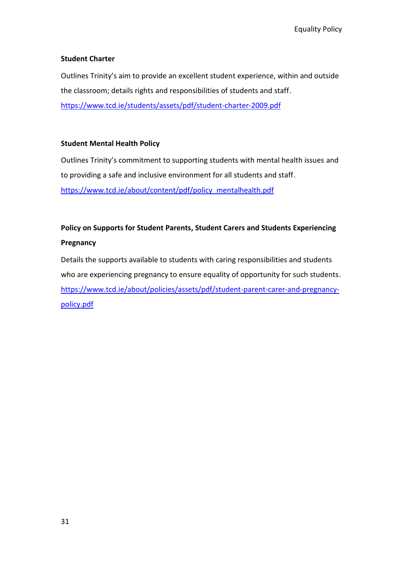#### <span id="page-30-0"></span>**Student Charter**

Outlines Trinity's aim to provide an excellent student experience, within and outside the classroom; details rights and responsibilities of students and staff. <https://www.tcd.ie/students/assets/pdf/student-charter-2009.pdf>

#### <span id="page-30-1"></span>**Student Mental Health Policy**

Outlines Trinity's commitment to supporting students with mental health issues and to providing a safe and inclusive environment for all students and staff. [https://www.tcd.ie/about/content/pdf/policy\\_mentalhealth.pdf](https://www.tcd.ie/about/content/pdf/policy_mentalhealth.pdf)

# <span id="page-30-2"></span>**Policy on Supports for Student Parents, Student Carers and Students Experiencing Pregnancy**

Details the supports available to students with caring responsibilities and students who are experiencing pregnancy to ensure equality of opportunity for such students. [https://www.tcd.ie/about/policies/assets/pdf/student-parent-carer-and-pregnancy](https://www.tcd.ie/about/policies/assets/pdf/student-parent-carer-and-pregnancy-policy.pdf)[policy.pdf](https://www.tcd.ie/about/policies/assets/pdf/student-parent-carer-and-pregnancy-policy.pdf)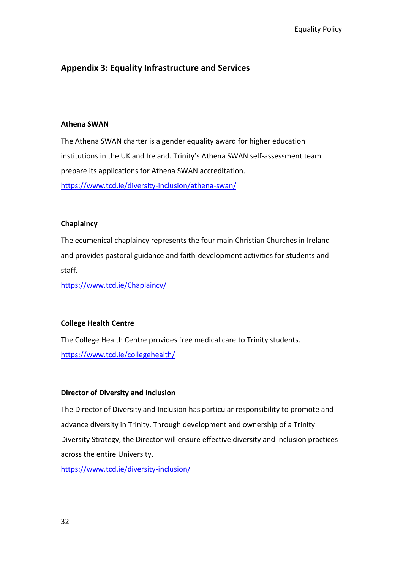# <span id="page-31-0"></span>**Appendix 3: Equality Infrastructure and Services**

#### <span id="page-31-1"></span>**Athena SWAN**

The Athena SWAN charter is a gender equality award for higher education institutions in the UK and Ireland. Trinity's Athena SWAN self-assessment team prepare its applications for Athena SWAN accreditation. <https://www.tcd.ie/diversity-inclusion/athena-swan/>

#### <span id="page-31-2"></span>**Chaplaincy**

The ecumenical chaplaincy represents the four main Christian Churches in Ireland and provides pastoral guidance and faith-development activities for students and staff.

<https://www.tcd.ie/Chaplaincy/>

#### <span id="page-31-3"></span>**College Health Centre**

The College Health Centre provides free medical care to Trinity students. <https://www.tcd.ie/collegehealth/>

#### <span id="page-31-4"></span>**Director of Diversity and Inclusion**

The Director of Diversity and Inclusion has particular responsibility to promote and advance diversity in Trinity. Through development and ownership of a Trinity Diversity Strategy, the Director will ensure effective diversity and inclusion practices across the entire University.

<https://www.tcd.ie/diversity-inclusion/>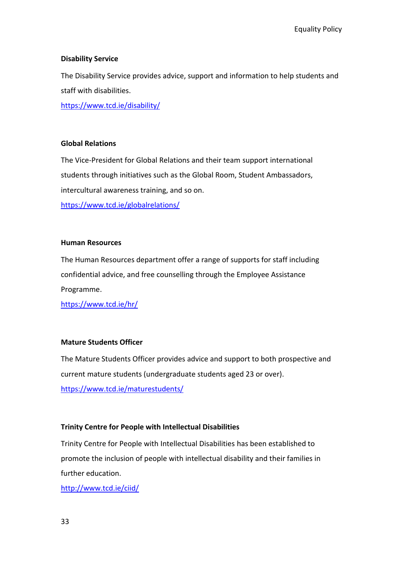#### <span id="page-32-0"></span>**Disability Service**

The Disability Service provides advice, support and information to help students and staff with disabilities.

<https://www.tcd.ie/disability/>

#### <span id="page-32-1"></span>**Global Relations**

The Vice-President for Global Relations and their team support international students through initiatives such as the Global Room, Student Ambassadors, intercultural awareness training, and so on. <https://www.tcd.ie/globalrelations/>

#### <span id="page-32-2"></span>**Human Resources**

The Human Resources department offer a range of supports for staff including confidential advice, and free counselling through the Employee Assistance Programme.

<https://www.tcd.ie/hr/>

#### <span id="page-32-3"></span>**Mature Students Officer**

The Mature Students Officer provides advice and support to both prospective and current mature students (undergraduate students aged 23 or over). <https://www.tcd.ie/maturestudents/>

#### <span id="page-32-4"></span>**Trinity Centre for People with Intellectual Disabilities**

Trinity Centre for People with Intellectual Disabilities has been established to promote the inclusion of people with intellectual disability and their families in further education.

<http://www.tcd.ie/ciid/>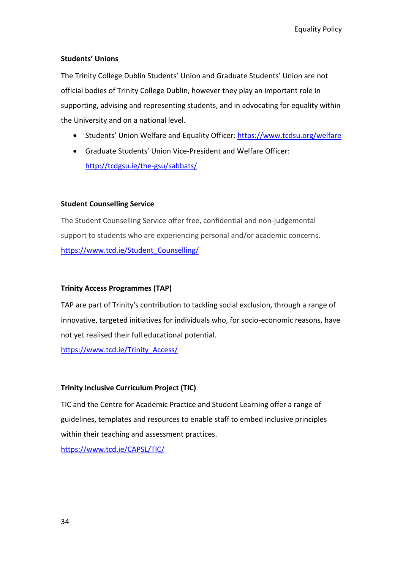### <span id="page-33-0"></span>**Students' Unions**

The Trinity College Dublin Students' Union and Graduate Students' Union are not official bodies of Trinity College Dublin, however they play an important role in supporting, advising and representing students, and in advocating for equality within the University and on a national level.

- Students' Union Welfare and Equality Officer[: https://www.tcdsu.org/welfare](https://www.tcdsu.org/welfare)
- Graduate Students' Union Vice-President and Welfare Officer: <http://tcdgsu.ie/the-gsu/sabbats/>

#### <span id="page-33-1"></span>**Student Counselling Service**

The Student Counselling Service offer free, confidential and non-judgemental support to students who are experiencing personal and/or academic concerns. [https://www.tcd.ie/Student\\_Counselling/](https://www.tcd.ie/Student_Counselling/)

### <span id="page-33-2"></span>**Trinity Access Programmes (TAP)**

TAP are part of Trinity's contribution to tackling social exclusion, through a range of innovative, targeted initiatives for individuals who, for socio-economic reasons, have not yet realised their full educational potential.

[https://www.tcd.ie/Trinity\\_Access/](https://www.tcd.ie/Trinity_Access/)

# <span id="page-33-3"></span>**Trinity Inclusive Curriculum Project (TIC)**

TIC and the Centre for Academic Practice and Student Learning offer a range of guidelines, templates and resources to enable staff to embed inclusive principles within their teaching and assessment practices.

<https://www.tcd.ie/CAPSL/TIC/>